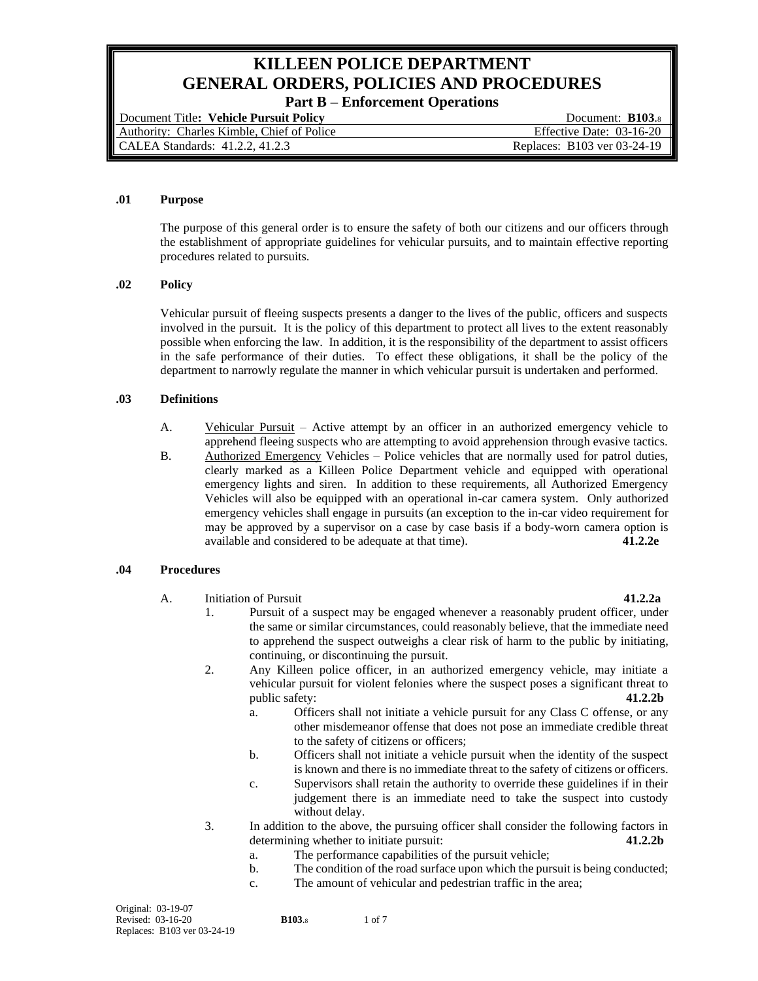# **KILLEEN POLICE DEPARTMENT GENERAL ORDERS, POLICIES AND PROCEDURES**

**Part B – Enforcement Operations**

| Document Title: Vehicle Pursuit Policy     | Document: <b>B103.</b>      |
|--------------------------------------------|-----------------------------|
| Authority: Charles Kimble, Chief of Police | Effective Date: 03-16-20    |
| CALEA Standards: 41.2.2, 41.2.3            | Replaces: B103 ver 03-24-19 |

# **.01 Purpose**

The purpose of this general order is to ensure the safety of both our citizens and our officers through the establishment of appropriate guidelines for vehicular pursuits, and to maintain effective reporting procedures related to pursuits.

# **.02 Policy**

Vehicular pursuit of fleeing suspects presents a danger to the lives of the public, officers and suspects involved in the pursuit. It is the policy of this department to protect all lives to the extent reasonably possible when enforcing the law. In addition, it is the responsibility of the department to assist officers in the safe performance of their duties. To effect these obligations, it shall be the policy of the department to narrowly regulate the manner in which vehicular pursuit is undertaken and performed.

# **.03 Definitions**

- A. Vehicular Pursuit Active attempt by an officer in an authorized emergency vehicle to apprehend fleeing suspects who are attempting to avoid apprehension through evasive tactics.
- B. Authorized Emergency Vehicles Police vehicles that are normally used for patrol duties, clearly marked as a Killeen Police Department vehicle and equipped with operational emergency lights and siren. In addition to these requirements, all Authorized Emergency Vehicles will also be equipped with an operational in-car camera system. Only authorized emergency vehicles shall engage in pursuits (an exception to the in-car video requirement for may be approved by a supervisor on a case by case basis if a body-worn camera option is available and considered to be adequate at that time). **41.2.2e**

# **.04 Procedures**

A. Initiation of Pursuit **41.2.2a**

- 1. Pursuit of a suspect may be engaged whenever a reasonably prudent officer, under the same or similar circumstances, could reasonably believe, that the immediate need to apprehend the suspect outweighs a clear risk of harm to the public by initiating, continuing, or discontinuing the pursuit.
- 2. Any Killeen police officer, in an authorized emergency vehicle, may initiate a vehicular pursuit for violent felonies where the suspect poses a significant threat to public safety: **41.2.2b**
	- a. Officers shall not initiate a vehicle pursuit for any Class C offense, or any other misdemeanor offense that does not pose an immediate credible threat to the safety of citizens or officers;
	- b. Officers shall not initiate a vehicle pursuit when the identity of the suspect is known and there is no immediate threat to the safety of citizens or officers.
	- c. Supervisors shall retain the authority to override these guidelines if in their judgement there is an immediate need to take the suspect into custody without delay.
- 3. In addition to the above, the pursuing officer shall consider the following factors in determining whether to initiate pursuit: **41.2.2b**
	- a. The performance capabilities of the pursuit vehicle;
	- b. The condition of the road surface upon which the pursuit is being conducted;
	- c. The amount of vehicular and pedestrian traffic in the area;

| Original: 03-19-07          |               |            |
|-----------------------------|---------------|------------|
| Revised: 03-16-20           | <b>B103.8</b> | $1$ of $7$ |
| Replaces: B103 ver 03-24-19 |               |            |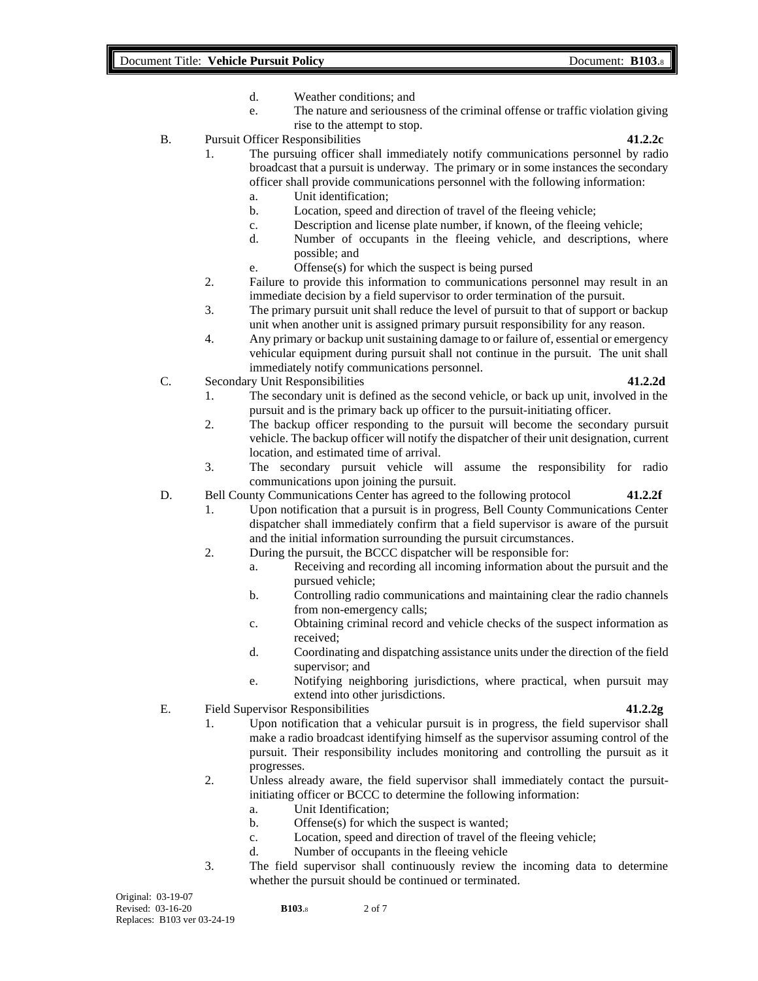- d. Weather conditions; and
- e. The nature and seriousness of the criminal offense or traffic violation giving rise to the attempt to stop.
- B. Pursuit Officer Responsibilities **41.2.2c**

- 1. The pursuing officer shall immediately notify communications personnel by radio broadcast that a pursuit is underway. The primary or in some instances the secondary officer shall provide communications personnel with the following information:
	- a. Unit identification;
	- b. Location, speed and direction of travel of the fleeing vehicle;
	- c. Description and license plate number, if known, of the fleeing vehicle;
	- d. Number of occupants in the fleeing vehicle, and descriptions, where possible; and
	- e. Offense(s) for which the suspect is being pursed
- 2. Failure to provide this information to communications personnel may result in an immediate decision by a field supervisor to order termination of the pursuit.
- 3. The primary pursuit unit shall reduce the level of pursuit to that of support or backup unit when another unit is assigned primary pursuit responsibility for any reason.
- 4. Any primary or backup unit sustaining damage to or failure of, essential or emergency vehicular equipment during pursuit shall not continue in the pursuit. The unit shall immediately notify communications personnel.
- C. Secondary Unit Responsibilities **41.2.2d**

- 1. The secondary unit is defined as the second vehicle, or back up unit, involved in the pursuit and is the primary back up officer to the pursuit-initiating officer.
- 2. The backup officer responding to the pursuit will become the secondary pursuit vehicle. The backup officer will notify the dispatcher of their unit designation, current location, and estimated time of arrival.
- 3. The secondary pursuit vehicle will assume the responsibility for radio communications upon joining the pursuit.
- D. Bell County Communications Center has agreed to the following protocol **41.2.2f**
	- 1. Upon notification that a pursuit is in progress, Bell County Communications Center dispatcher shall immediately confirm that a field supervisor is aware of the pursuit and the initial information surrounding the pursuit circumstances.
	- 2. During the pursuit, the BCCC dispatcher will be responsible for:
		- a. Receiving and recording all incoming information about the pursuit and the pursued vehicle;
		- b. Controlling radio communications and maintaining clear the radio channels from non-emergency calls;
		- c. Obtaining criminal record and vehicle checks of the suspect information as received;
		- d. Coordinating and dispatching assistance units under the direction of the field supervisor; and
		- e. Notifying neighboring jurisdictions, where practical, when pursuit may extend into other jurisdictions.
- E. Field Supervisor Responsibilities **41.2.2g**

# 1. Upon notification that a vehicular pursuit is in progress, the field supervisor shall make a radio broadcast identifying himself as the supervisor assuming control of the pursuit. Their responsibility includes monitoring and controlling the pursuit as it progresses.

- 2. Unless already aware, the field supervisor shall immediately contact the pursuitinitiating officer or BCCC to determine the following information:
	- a. Unit Identification;
	- b. Offense(s) for which the suspect is wanted;
	- c. Location, speed and direction of travel of the fleeing vehicle;
	- d. Number of occupants in the fleeing vehicle
- 3. The field supervisor shall continuously review the incoming data to determine whether the pursuit should be continued or terminated.

Original: 03-19-07 Revised: 03-16-20 **B103**.8 2 of 7 Replaces: B103 ver 03-24-19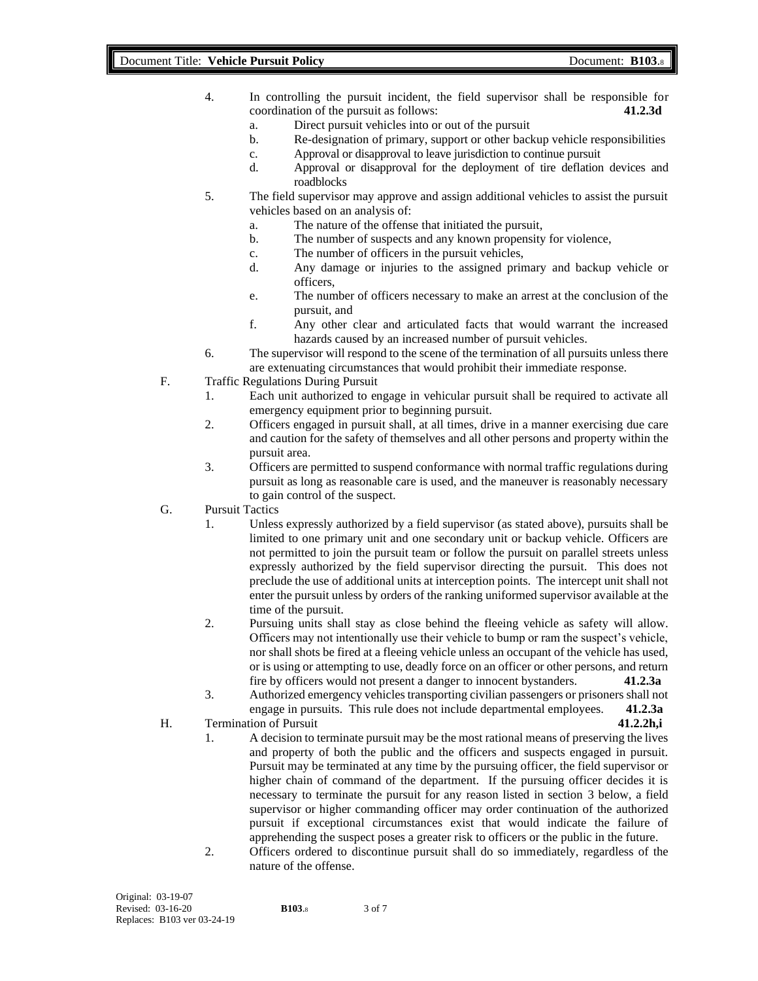- 4. In controlling the pursuit incident, the field supervisor shall be responsible for coordination of the pursuit as follows: **41.2.3d**
	- a. Direct pursuit vehicles into or out of the pursuit
	- b. Re-designation of primary, support or other backup vehicle responsibilities
	- c. Approval or disapproval to leave jurisdiction to continue pursuit
	- d. Approval or disapproval for the deployment of tire deflation devices and roadblocks
- 5. The field supervisor may approve and assign additional vehicles to assist the pursuit vehicles based on an analysis of:
	- a. The nature of the offense that initiated the pursuit,
	- b. The number of suspects and any known propensity for violence,
	- c. The number of officers in the pursuit vehicles,
	- d. Any damage or injuries to the assigned primary and backup vehicle or officers,
	- e. The number of officers necessary to make an arrest at the conclusion of the pursuit, and
	- f. Any other clear and articulated facts that would warrant the increased hazards caused by an increased number of pursuit vehicles.
- 6. The supervisor will respond to the scene of the termination of all pursuits unless there are extenuating circumstances that would prohibit their immediate response.
- F. Traffic Regulations During Pursuit
	- 1. Each unit authorized to engage in vehicular pursuit shall be required to activate all emergency equipment prior to beginning pursuit.
	- 2. Officers engaged in pursuit shall, at all times, drive in a manner exercising due care and caution for the safety of themselves and all other persons and property within the pursuit area.
	- 3. Officers are permitted to suspend conformance with normal traffic regulations during pursuit as long as reasonable care is used, and the maneuver is reasonably necessary to gain control of the suspect.
- G. Pursuit Tactics
	- 1. Unless expressly authorized by a field supervisor (as stated above), pursuits shall be limited to one primary unit and one secondary unit or backup vehicle. Officers are not permitted to join the pursuit team or follow the pursuit on parallel streets unless expressly authorized by the field supervisor directing the pursuit. This does not preclude the use of additional units at interception points. The intercept unit shall not enter the pursuit unless by orders of the ranking uniformed supervisor available at the time of the pursuit.
	- 2. Pursuing units shall stay as close behind the fleeing vehicle as safety will allow. Officers may not intentionally use their vehicle to bump or ram the suspect's vehicle, nor shall shots be fired at a fleeing vehicle unless an occupant of the vehicle has used, or is using or attempting to use, deadly force on an officer or other persons, and return fire by officers would not present a danger to innocent bystanders. **41.2.3a**
	- 3. Authorized emergency vehicles transporting civilian passengers or prisoners shall not engage in pursuits. This rule does not include departmental employees. **41.2.3a**
- H. Termination of Pursuit **41.2.2h,i**
	- 1. A decision to terminate pursuit may be the most rational means of preserving the lives and property of both the public and the officers and suspects engaged in pursuit. Pursuit may be terminated at any time by the pursuing officer, the field supervisor or higher chain of command of the department. If the pursuing officer decides it is necessary to terminate the pursuit for any reason listed in section 3 below, a field supervisor or higher commanding officer may order continuation of the authorized pursuit if exceptional circumstances exist that would indicate the failure of apprehending the suspect poses a greater risk to officers or the public in the future.
	- 2. Officers ordered to discontinue pursuit shall do so immediately, regardless of the nature of the offense.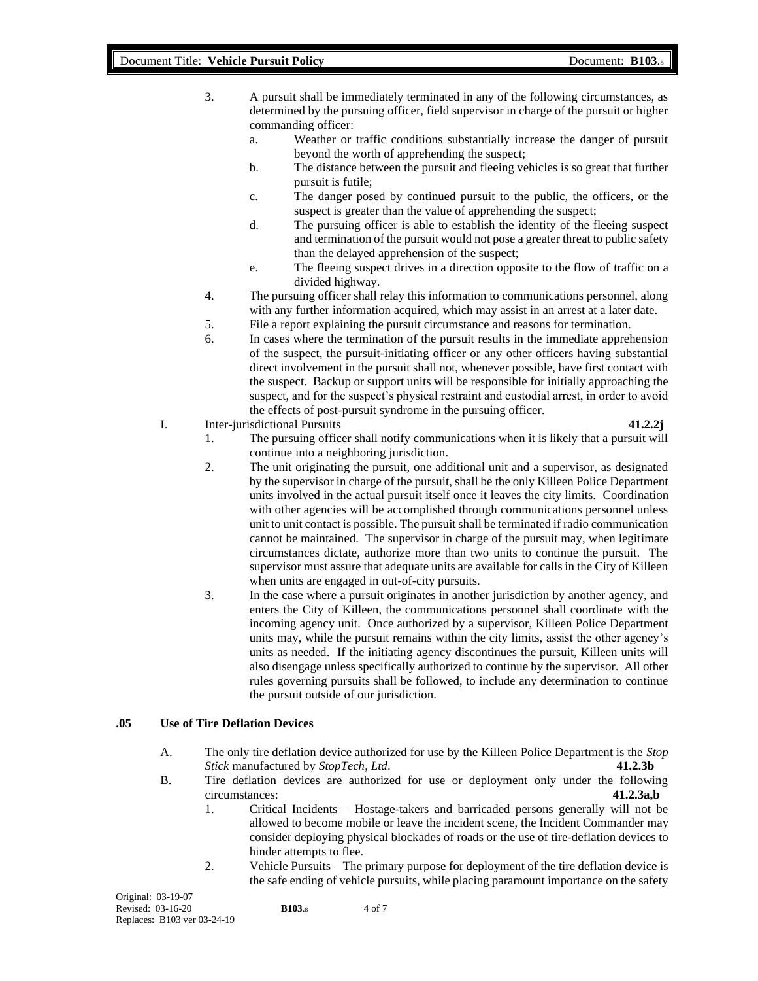3. A pursuit shall be immediately terminated in any of the following circumstances, as determined by the pursuing officer, field supervisor in charge of the pursuit or higher commanding officer:

- a. Weather or traffic conditions substantially increase the danger of pursuit beyond the worth of apprehending the suspect;
- b. The distance between the pursuit and fleeing vehicles is so great that further pursuit is futile;
- c. The danger posed by continued pursuit to the public, the officers, or the suspect is greater than the value of apprehending the suspect;
- d. The pursuing officer is able to establish the identity of the fleeing suspect and termination of the pursuit would not pose a greater threat to public safety than the delayed apprehension of the suspect;
- e. The fleeing suspect drives in a direction opposite to the flow of traffic on a divided highway.
- 4. The pursuing officer shall relay this information to communications personnel, along with any further information acquired, which may assist in an arrest at a later date.
- 5. File a report explaining the pursuit circumstance and reasons for termination.
- 6. In cases where the termination of the pursuit results in the immediate apprehension of the suspect, the pursuit-initiating officer or any other officers having substantial direct involvement in the pursuit shall not, whenever possible, have first contact with the suspect. Backup or support units will be responsible for initially approaching the suspect, and for the suspect's physical restraint and custodial arrest, in order to avoid the effects of post-pursuit syndrome in the pursuing officer.
- I. Inter-jurisdictional Pursuits **41.2.2j**

- 1. The pursuing officer shall notify communications when it is likely that a pursuit will continue into a neighboring jurisdiction.
- 2. The unit originating the pursuit, one additional unit and a supervisor, as designated by the supervisor in charge of the pursuit, shall be the only Killeen Police Department units involved in the actual pursuit itself once it leaves the city limits. Coordination with other agencies will be accomplished through communications personnel unless unit to unit contact is possible. The pursuit shall be terminated if radio communication cannot be maintained. The supervisor in charge of the pursuit may, when legitimate circumstances dictate, authorize more than two units to continue the pursuit. The supervisor must assure that adequate units are available for calls in the City of Killeen when units are engaged in out-of-city pursuits.
- 3. In the case where a pursuit originates in another jurisdiction by another agency, and enters the City of Killeen, the communications personnel shall coordinate with the incoming agency unit. Once authorized by a supervisor, Killeen Police Department units may, while the pursuit remains within the city limits, assist the other agency's units as needed. If the initiating agency discontinues the pursuit, Killeen units will also disengage unless specifically authorized to continue by the supervisor. All other rules governing pursuits shall be followed, to include any determination to continue the pursuit outside of our jurisdiction.

## **.05 Use of Tire Deflation Devices**

- A. The only tire deflation device authorized for use by the Killeen Police Department is the *Stop Stick* manufactured by *StopTech, Ltd*. **41.2.3b**
- B. Tire deflation devices are authorized for use or deployment only under the following circumstances: **41.2.3a,b**
	- 1. Critical Incidents Hostage-takers and barricaded persons generally will not be allowed to become mobile or leave the incident scene, the Incident Commander may consider deploying physical blockades of roads or the use of tire-deflation devices to hinder attempts to flee.
	- 2. Vehicle Pursuits The primary purpose for deployment of the tire deflation device is the safe ending of vehicle pursuits, while placing paramount importance on the safety

| Original: 03-19-07          |               |        |
|-----------------------------|---------------|--------|
| Revised: 03-16-20           | <b>B103.8</b> | 4 of 7 |
| Replaces: B103 ver 03-24-19 |               |        |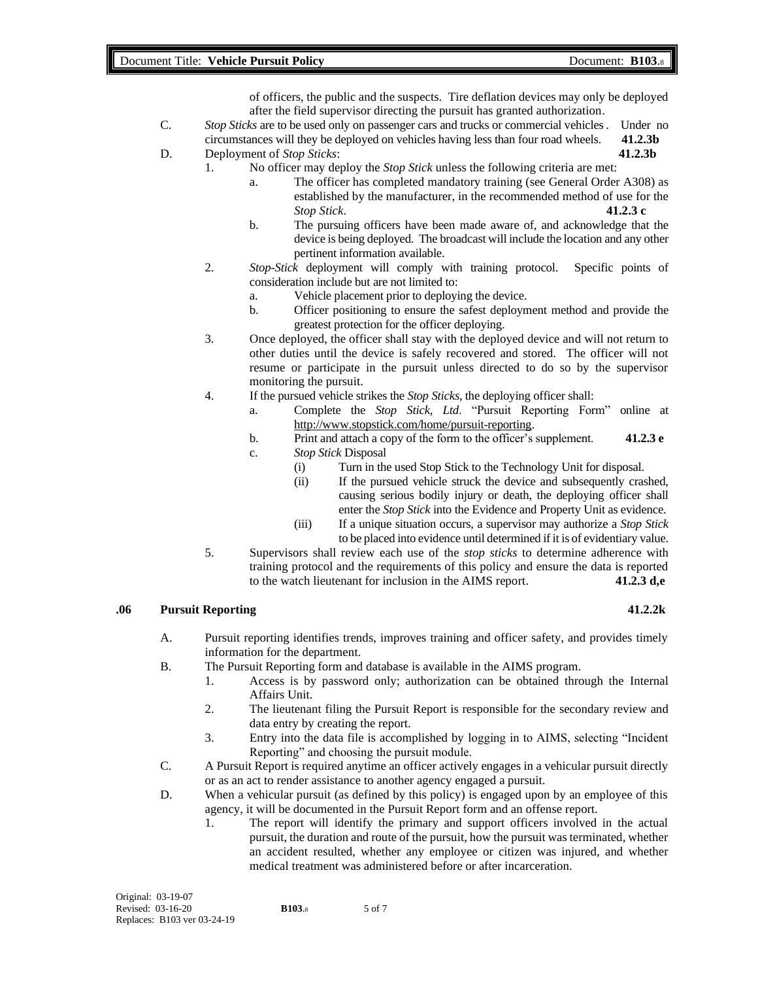of officers, the public and the suspects. Tire deflation devices may only be deployed after the field supervisor directing the pursuit has granted authorization.

- C. *Stop Sticks* are to be used only on passenger cars and trucks or commercial vehicles. Under no circumstances will they be deployed on vehicles having less than four road wheels. **41.2.3b**
- D. Deployment of *Stop Sticks*: **41.2.3b**
	- 1. No officer may deploy the *Stop Stick* unless the following criteria are met:
		- a. The officer has completed mandatory training (see General Order A308) as established by the manufacturer, in the recommended method of use for the *Stop Stick*. **41.2.3 c**
		- b. The pursuing officers have been made aware of, and acknowledge that the device is being deployed. The broadcast will include the location and any other pertinent information available.
		- 2. *Stop-Stick* deployment will comply with training protocol. Specific points of consideration include but are not limited to:
			- a. Vehicle placement prior to deploying the device.
			- b. Officer positioning to ensure the safest deployment method and provide the greatest protection for the officer deploying.
		- 3. Once deployed, the officer shall stay with the deployed device and will not return to other duties until the device is safely recovered and stored. The officer will not resume or participate in the pursuit unless directed to do so by the supervisor monitoring the pursuit.
		- 4. If the pursued vehicle strikes the *Stop Sticks*, the deploying officer shall:
			- a. Complete the *Stop Stick, Ltd*. "Pursuit Reporting Form" online at [http://www.stopstick.com/home/pursuit-reporting.](http://www.stopstick.com/home/pursuit-reporting)
			- b. Print and attach a copy of the form to the officer's supplement. **41.2.3 e** c. *Stop Stick* Disposal
			- - (i) Turn in the used Stop Stick to the Technology Unit for disposal.
				- (ii) If the pursued vehicle struck the device and subsequently crashed, causing serious bodily injury or death, the deploying officer shall enter the *Stop Stick* into the Evidence and Property Unit as evidence.
				- (iii) If a unique situation occurs, a supervisor may authorize a *Stop Stick* to be placed into evidence until determined if it is of evidentiary value.
		- 5. Supervisors shall review each use of the *stop sticks* to determine adherence with training protocol and the requirements of this policy and ensure the data is reported to the watch lieutenant for inclusion in the AIMS report. **41.2.3 d,e**

# **.06 Pursuit Reporting 41.2.2k**

- A. Pursuit reporting identifies trends, improves training and officer safety, and provides timely information for the department.
- B. The Pursuit Reporting form and database is available in the AIMS program.
	- 1. Access is by password only; authorization can be obtained through the Internal Affairs Unit.
	- 2. The lieutenant filing the Pursuit Report is responsible for the secondary review and data entry by creating the report.
	- 3. Entry into the data file is accomplished by logging in to AIMS, selecting "Incident Reporting" and choosing the pursuit module.
- C. A Pursuit Report is required anytime an officer actively engages in a vehicular pursuit directly or as an act to render assistance to another agency engaged a pursuit.
- D. When a vehicular pursuit (as defined by this policy) is engaged upon by an employee of this agency, it will be documented in the Pursuit Report form and an offense report.
	- 1. The report will identify the primary and support officers involved in the actual pursuit, the duration and route of the pursuit, how the pursuit was terminated, whether an accident resulted, whether any employee or citizen was injured, and whether medical treatment was administered before or after incarceration.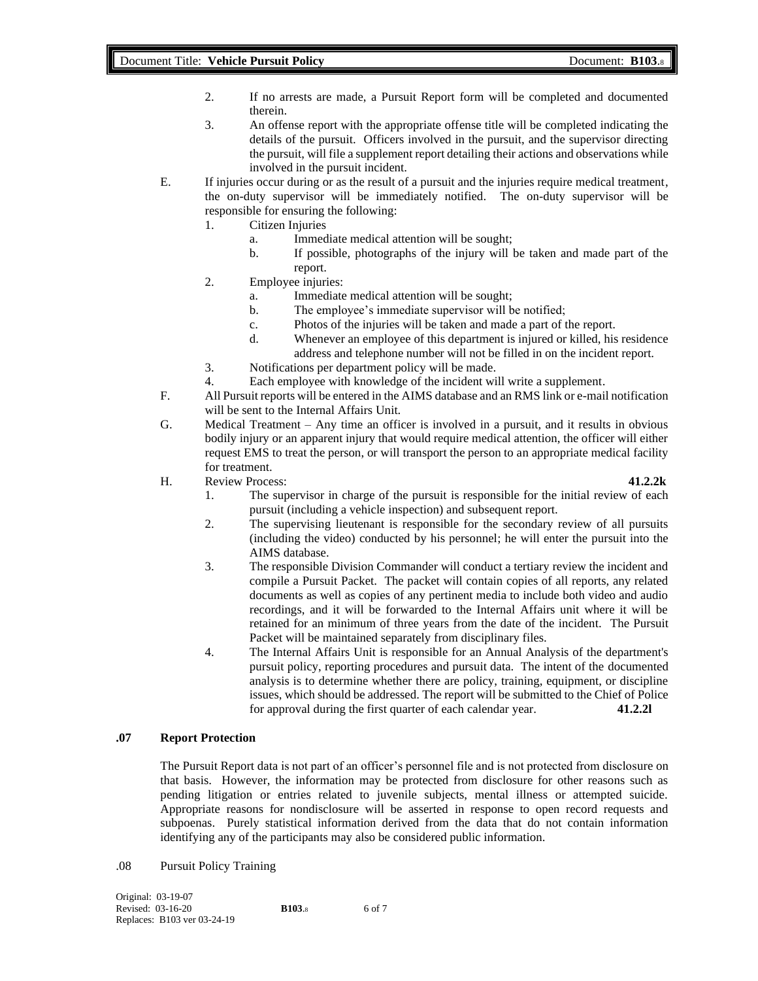- 2. If no arrests are made, a Pursuit Report form will be completed and documented therein.
- 3. An offense report with the appropriate offense title will be completed indicating the details of the pursuit. Officers involved in the pursuit, and the supervisor directing the pursuit, will file a supplement report detailing their actions and observations while involved in the pursuit incident.
- E. If injuries occur during or as the result of a pursuit and the injuries require medical treatment, the on-duty supervisor will be immediately notified. The on-duty supervisor will be responsible for ensuring the following:
	- 1. Citizen Injuries
		- a. Immediate medical attention will be sought;
			- b. If possible, photographs of the injury will be taken and made part of the report.
	- 2. Employee injuries:
		- a. Immediate medical attention will be sought;
		- b. The employee's immediate supervisor will be notified;
		- c. Photos of the injuries will be taken and made a part of the report.
		- d. Whenever an employee of this department is injured or killed, his residence address and telephone number will not be filled in on the incident report.
	- 3. Notifications per department policy will be made.
	- 4. Each employee with knowledge of the incident will write a supplement.
- F. All Pursuit reports will be entered in the AIMS database and an RMS link or e-mail notification will be sent to the Internal Affairs Unit.
- G. Medical Treatment Any time an officer is involved in a pursuit, and it results in obvious bodily injury or an apparent injury that would require medical attention, the officer will either request EMS to treat the person, or will transport the person to an appropriate medical facility for treatment.
- H. Review Process: **41.2.2k**

- 1. The supervisor in charge of the pursuit is responsible for the initial review of each pursuit (including a vehicle inspection) and subsequent report.
- 2. The supervising lieutenant is responsible for the secondary review of all pursuits (including the video) conducted by his personnel; he will enter the pursuit into the AIMS database.
- 3. The responsible Division Commander will conduct a tertiary review the incident and compile a Pursuit Packet. The packet will contain copies of all reports, any related documents as well as copies of any pertinent media to include both video and audio recordings, and it will be forwarded to the Internal Affairs unit where it will be retained for an minimum of three years from the date of the incident. The Pursuit Packet will be maintained separately from disciplinary files.
- 4. The Internal Affairs Unit is responsible for an Annual Analysis of the department's pursuit policy, reporting procedures and pursuit data. The intent of the documented analysis is to determine whether there are policy, training, equipment, or discipline issues, which should be addressed. The report will be submitted to the Chief of Police for approval during the first quarter of each calendar year. **41.2.2l**

# **.07 Report Protection**

The Pursuit Report data is not part of an officer's personnel file and is not protected from disclosure on that basis. However, the information may be protected from disclosure for other reasons such as pending litigation or entries related to juvenile subjects, mental illness or attempted suicide. Appropriate reasons for nondisclosure will be asserted in response to open record requests and subpoenas. Purely statistical information derived from the data that do not contain information identifying any of the participants may also be considered public information.

## .08 Pursuit Policy Training